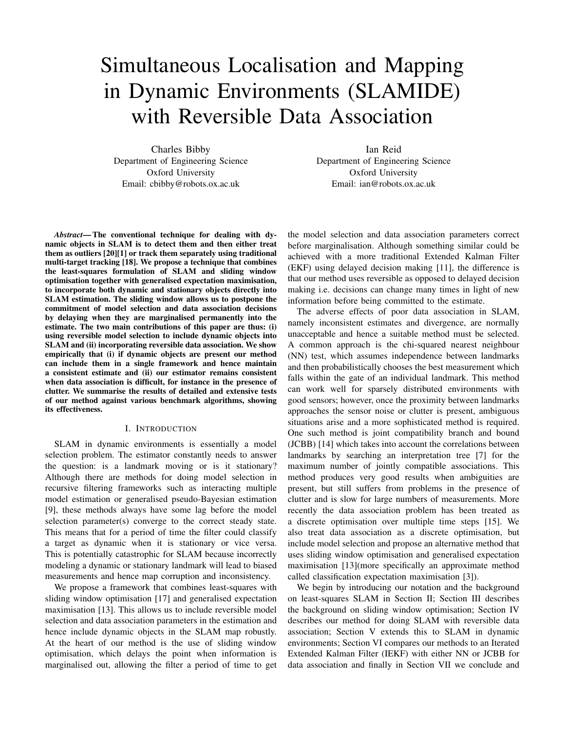# Simultaneous Localisation and Mapping in Dynamic Environments (SLAMIDE) with Reversible Data Association

Charles Bibby Department of Engineering Science Oxford University Email: cbibby@robots.ox.ac.uk

Ian Reid Department of Engineering Science Oxford University Email: ian@robots.ox.ac.uk

*Abstract*— The conventional technique for dealing with dynamic objects in SLAM is to detect them and then either treat them as outliers [20][1] or track them separately using traditional multi-target tracking [18]. We propose a technique that combines the least-squares formulation of SLAM and sliding window optimisation together with generalised expectation maximisation, to incorporate both dynamic and stationary objects directly into SLAM estimation. The sliding window allows us to postpone the commitment of model selection and data association decisions by delaying when they are marginalised permanently into the estimate. The two main contributions of this paper are thus: (i) using reversible model selection to include dynamic objects into SLAM and (ii) incorporating reversible data association. We show empirically that (i) if dynamic objects are present our method can include them in a single framework and hence maintain a consistent estimate and (ii) our estimator remains consistent when data association is difficult, for instance in the presence of clutter. We summarise the results of detailed and extensive tests of our method against various benchmark algorithms, showing its effectiveness.

#### I. INTRODUCTION

SLAM in dynamic environments is essentially a model selection problem. The estimator constantly needs to answer the question: is a landmark moving or is it stationary? Although there are methods for doing model selection in recursive filtering frameworks such as interacting multiple model estimation or generalised pseudo-Bayesian estimation [9], these methods always have some lag before the model selection parameter(s) converge to the correct steady state. This means that for a period of time the filter could classify a target as dynamic when it is stationary or vice versa. This is potentially catastrophic for SLAM because incorrectly modeling a dynamic or stationary landmark will lead to biased measurements and hence map corruption and inconsistency.

We propose a framework that combines least-squares with sliding window optimisation [17] and generalised expectation maximisation [13]. This allows us to include reversible model selection and data association parameters in the estimation and hence include dynamic objects in the SLAM map robustly. At the heart of our method is the use of sliding window optimisation, which delays the point when information is marginalised out, allowing the filter a period of time to get the model selection and data association parameters correct before marginalisation. Although something similar could be achieved with a more traditional Extended Kalman Filter (EKF) using delayed decision making [11], the difference is that our method uses reversible as opposed to delayed decision making i.e. decisions can change many times in light of new information before being committed to the estimate.

The adverse effects of poor data association in SLAM, namely inconsistent estimates and divergence, are normally unacceptable and hence a suitable method must be selected. A common approach is the chi-squared nearest neighbour (NN) test, which assumes independence between landmarks and then probabilistically chooses the best measurement which falls within the gate of an individual landmark. This method can work well for sparsely distributed environments with good sensors; however, once the proximity between landmarks approaches the sensor noise or clutter is present, ambiguous situations arise and a more sophisticated method is required. One such method is joint compatibility branch and bound (JCBB) [14] which takes into account the correlations between landmarks by searching an interpretation tree [7] for the maximum number of jointly compatible associations. This method produces very good results when ambiguities are present, but still suffers from problems in the presence of clutter and is slow for large numbers of measurements. More recently the data association problem has been treated as a discrete optimisation over multiple time steps [15]. We also treat data association as a discrete optimisation, but include model selection and propose an alternative method that uses sliding window optimisation and generalised expectation maximisation [13](more specifically an approximate method called classification expectation maximisation [3]).

We begin by introducing our notation and the background on least-squares SLAM in Section II; Section III describes the background on sliding window optimisation; Section IV describes our method for doing SLAM with reversible data association; Section V extends this to SLAM in dynamic environments; Section VI compares our methods to an Iterated Extended Kalman Filter (IEKF) with either NN or JCBB for data association and finally in Section VII we conclude and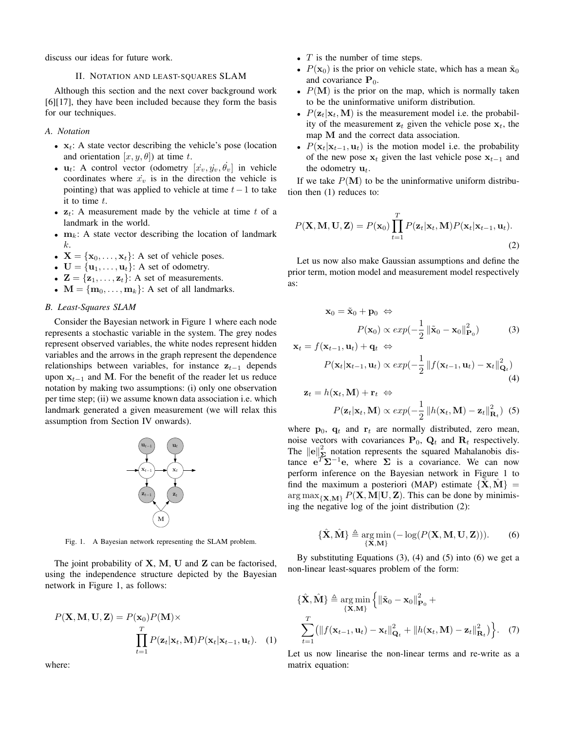discuss our ideas for future work.

## II. NOTATION AND LEAST-SQUARES SLAM

Although this section and the next cover background work [6][17], they have been included because they form the basis for our techniques.

# *A. Notation*

- $x_t$ : A state vector describing the vehicle's pose (location and orientation  $[x, y, \theta]$  at time t.
- $\mathbf{u}_t$ : A control vector (odometry  $[x_v, y_v, \dot{\theta}_v]$  in vehicle coordinates where  $\dot{x}_v$  is in the direction the vehicle is pointing) that was applied to vehicle at time  $t-1$  to take it to time  $t$ .
- $z_t$ : A measurement made by the vehicle at time t of a landmark in the world.
- $m_k$ : A state vector describing the location of landmark k.
- $X = \{x_0, \ldots, x_t\}$ : A set of vehicle poses.
- $U = \{u_1, \ldots, u_t\}$ : A set of odometry.
- $\mathbf{Z} = {\mathbf{z}_1, \dots, \mathbf{z}_t}$ : A set of measurements.
- $M = \{m_0, \ldots, m_k\}$ : A set of all landmarks.

## *B. Least-Squares SLAM*

Consider the Bayesian network in Figure 1 where each node represents a stochastic variable in the system. The grey nodes represent observed variables, the white nodes represent hidden variables and the arrows in the graph represent the dependence relationships between variables, for instance  $z_{t-1}$  depends upon  $x_{t-1}$  and M. For the benefit of the reader let us reduce notation by making two assumptions: (i) only one observation per time step; (ii) we assume known data association i.e. which landmark generated a given measurement (we will relax this assumption from Section IV onwards).



Fig. 1. A Bayesian network representing the SLAM problem.

The joint probability of  $X$ ,  $M$ ,  $U$  and  $Z$  can be factorised, using the independence structure depicted by the Bayesian network in Figure 1, as follows:

$$
P(\mathbf{X}, \mathbf{M}, \mathbf{U}, \mathbf{Z}) = P(\mathbf{x}_0) P(\mathbf{M}) \times \prod_{t=1}^T P(\mathbf{z}_t | \mathbf{x}_t, \mathbf{M}) P(\mathbf{x}_t | \mathbf{x}_{t-1}, \mathbf{u}_t).
$$
 (1)

where:

- $T$  is the number of time steps.
- $P(\mathbf{x}_0)$  is the prior on vehicle state, which has a mean  $\tilde{\mathbf{x}}_0$ and covariance  $P_0$ .
- $P(M)$  is the prior on the map, which is normally taken to be the uninformative uniform distribution.
- $P(\mathbf{z}_t|\mathbf{x}_t, \mathbf{M})$  is the measurement model i.e. the probability of the measurement  $z_t$  given the vehicle pose  $x_t$ , the map M and the correct data association.
- $P(\mathbf{x}_t|\mathbf{x}_{t-1}, \mathbf{u}_t)$  is the motion model i.e. the probability of the new pose  $x_t$  given the last vehicle pose  $x_{t-1}$  and the odometry  $\mathbf{u}_t$ .

If we take  $P(M)$  to be the uninformative uniform distribution then (1) reduces to:

$$
P(\mathbf{X}, \mathbf{M}, \mathbf{U}, \mathbf{Z}) = P(\mathbf{x}_0) \prod_{t=1}^{T} P(\mathbf{z}_t | \mathbf{x}_t, \mathbf{M}) P(\mathbf{x}_t | \mathbf{x}_{t-1}, \mathbf{u}_t).
$$
\n(2)

Let us now also make Gaussian assumptions and define the prior term, motion model and measurement model respectively as:

$$
\mathbf{x}_0 = \tilde{\mathbf{x}}_0 + \mathbf{p}_0 \Leftrightarrow
$$
  
 
$$
P(\mathbf{x}_0) \propto exp(-\frac{1}{2} ||\tilde{\mathbf{x}}_0 - \mathbf{x}_0||_{\mathbf{P}_0}^2)
$$
 (3)

$$
\mathbf{x}_t = f(\mathbf{x}_{t-1}, \mathbf{u}_t) + \mathbf{q}_t \Leftrightarrow
$$
  
\n
$$
P(\mathbf{x}_t | \mathbf{x}_{t-1}, \mathbf{u}_t) \propto exp(-\frac{1}{2} || f(\mathbf{x}_{t-1}, \mathbf{u}_t) - \mathbf{x}_t ||_{\mathbf{Q}_t}^2)
$$
  
\n
$$
\mathbf{z}_t = h(\mathbf{x}_t, \mathbf{M}) + \mathbf{r}_t \Leftrightarrow
$$
\n(4)

$$
P(\mathbf{z}_t|\mathbf{x}_t, \mathbf{M}) \propto exp(-\frac{1}{2} ||h(\mathbf{x}_t, \mathbf{M}) - \mathbf{z}_t||_{\mathbf{R}_t}^2) \tag{5}
$$

where  $\mathbf{p}_0$ ,  $\mathbf{q}_t$  and  $\mathbf{r}_t$  are normally distributed, zero mean, noise vectors with covariances  $P_0$ ,  $Q_t$  and  $R_t$  respectively. The  $||e||_{\Sigma}^2$  notation represents the squared Mahalanobis distance  $e^T \Sigma^{-1} e$ , where  $\Sigma$  is a covariance. We can now perform inference on the Bayesian network in Figure 1 to find the maximum a posteriori (MAP) estimate  ${X, M} =$  $\arg \max_{\{X, M\}} P(X, M | U, Z)$ . This can be done by minimising the negative log of the joint distribution (2):

$$
\{\hat{\mathbf{X}}, \hat{\mathbf{M}}\} \triangleq \underset{\{\mathbf{X}, \mathbf{M}\}}{\arg \min} \left(-\log(P(\mathbf{X}, \mathbf{M}, \mathbf{U}, \mathbf{Z}))).
$$
 (6)

By substituting Equations (3), (4) and (5) into (6) we get a non-linear least-squares problem of the form:

$$
\{\hat{\mathbf{X}}, \hat{\mathbf{M}}\} \triangleq \underset{\{\mathbf{X}, \mathbf{M}\}}{\arg \min} \left\{ \|\tilde{\mathbf{x}}_0 - \mathbf{x}_0\|_{\mathbf{P}_0}^2 + \right\}
$$

$$
\sum_{t=1}^T (\|f(\mathbf{x}_{t-1}, \mathbf{u}_t) - \mathbf{x}_t\|_{\mathbf{Q}_t}^2 + \|h(\mathbf{x}_t, \mathbf{M}) - \mathbf{z}_t\|_{\mathbf{R}_t}^2) \right\}.
$$
 (7)

Let us now linearise the non-linear terms and re-write as a matrix equation: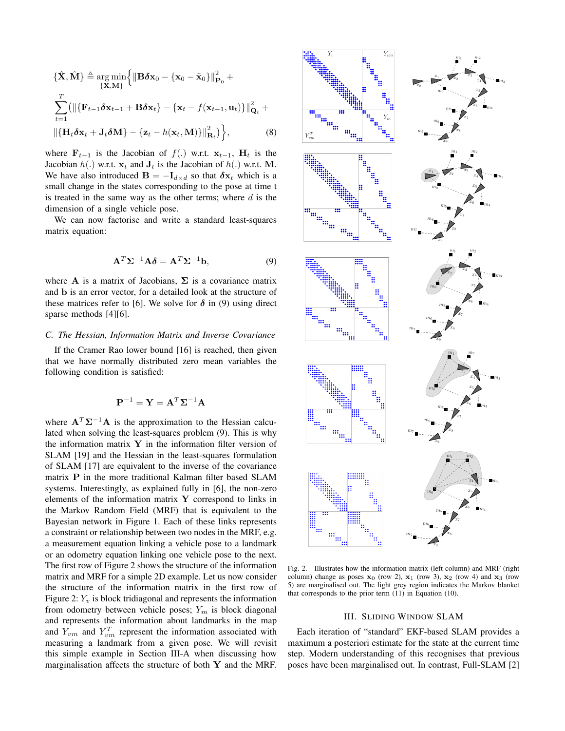$$
\{\hat{\mathbf{X}}, \hat{\mathbf{M}}\} \triangleq \underset{\{\mathbf{X}, \mathbf{M}\}}{\arg \min} \Big\{ {\| \mathbf{B} \boldsymbol{\delta} \mathbf{x}_0 - {\{\mathbf{x}_0\}} \|}_{\mathbf{P}_0}^2 + \sum_{t=1}^T ( {\| \{\mathbf{F}_{t-1} \boldsymbol{\delta} \mathbf{x}_{t-1} + \mathbf{B} \boldsymbol{\delta} \mathbf{x}_t\} - {\{\mathbf{x}_t - f(\mathbf{x}_{t-1}, \mathbf{u}_t)\} \|}_{\mathbf{Q}_t}^2 + {\| \{\mathbf{H}_t \boldsymbol{\delta} \mathbf{x}_t + \mathbf{J}_t \boldsymbol{\delta} \mathbf{M}\} - {\{\mathbf{z}_t - h(\mathbf{x}_t, \mathbf{M})\} \|}_{\mathbf{R}_t}^2} \Big\},
$$
\n(8)

where  $\mathbf{F}_{t-1}$  is the Jacobian of  $f(.)$  w.r.t.  $\mathbf{x}_{t-1}$ ,  $\mathbf{H}_t$  is the Jacobian  $h(.)$  w.r.t.  $x_t$  and  $J_t$  is the Jacobian of  $h(.)$  w.r.t. M. We have also introduced  $\mathbf{B} = -\mathbf{I}_{d \times d}$  so that  $\delta \mathbf{x}_t$  which is a small change in the states corresponding to the pose at time t is treated in the same way as the other terms; where  $d$  is the dimension of a single vehicle pose.

We can now factorise and write a standard least-squares matrix equation:

$$
\mathbf{A}^T \mathbf{\Sigma}^{-1} \mathbf{A} \delta = \mathbf{A}^T \mathbf{\Sigma}^{-1} \mathbf{b},\tag{9}
$$

where A is a matrix of Jacobians,  $\Sigma$  is a covariance matrix and b is an error vector, for a detailed look at the structure of these matrices refer to [6]. We solve for  $\delta$  in (9) using direct sparse methods [4][6].

## *C. The Hessian, Information Matrix and Inverse Covariance*

If the Cramer Rao lower bound [16] is reached, then given that we have normally distributed zero mean variables the following condition is satisfied:

$$
\mathbf{P}^{-1} = \mathbf{Y} = \mathbf{A}^T \mathbf{\Sigma}^{-1} \mathbf{A}
$$

where  $A^T\Sigma^{-1}A$  is the approximation to the Hessian calculated when solving the least-squares problem (9). This is why the information matrix  $Y$  in the information filter version of SLAM [19] and the Hessian in the least-squares formulation of SLAM [17] are equivalent to the inverse of the covariance matrix P in the more traditional Kalman filter based SLAM systems. Interestingly, as explained fully in [6], the non-zero elements of the information matrix  $\bf{Y}$  correspond to links in the Markov Random Field (MRF) that is equivalent to the Bayesian network in Figure 1. Each of these links represents a constraint or relationship between two nodes in the MRF, e.g. a measurement equation linking a vehicle pose to a landmark or an odometry equation linking one vehicle pose to the next. The first row of Figure 2 shows the structure of the information matrix and MRF for a simple 2D example. Let us now consider the structure of the information matrix in the first row of Figure 2:  $Y_v$  is block tridiagonal and represents the information from odometry between vehicle poses;  $Y_m$  is block diagonal and represents the information about landmarks in the map and  $Y_{vm}$  and  $Y_{vm}^T$  represent the information associated with measuring a landmark from a given pose. We will revisit this simple example in Section III-A when discussing how marginalisation affects the structure of both Y and the MRF.



Fig. 2. Illustrates how the information matrix (left column) and MRF (right column) change as poses  $x_0$  (row 2),  $x_1$  (row 3),  $x_2$  (row 4) and  $x_3$  (row 5) are marginalised out. The light grey region indicates the Markov blanket that corresponds to the prior term  $(11)$  in Equation  $(10)$ .

## III. SLIDING WINDOW SLAM

Each iteration of "standard" EKF-based SLAM provides a maximum a posteriori estimate for the state at the current time step. Modern understanding of this recognises that previous poses have been marginalised out. In contrast, Full-SLAM [2]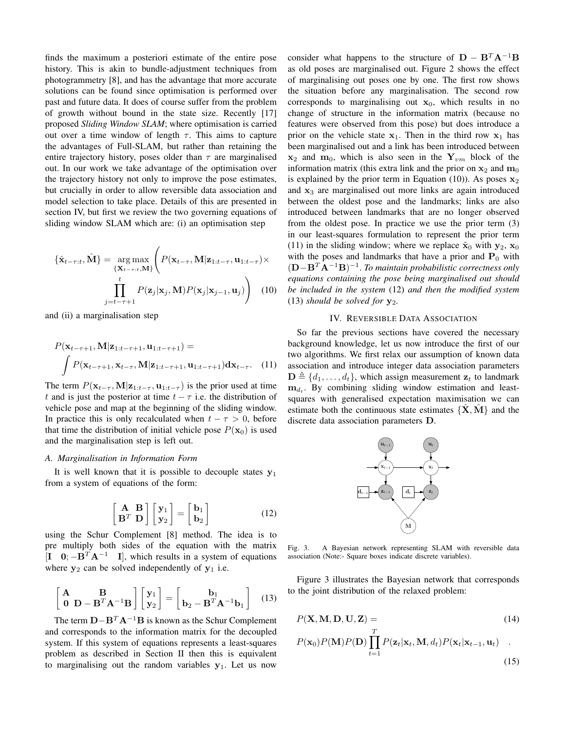finds the maximum a posteriori estimate of the entire pose history. This is akin to bundle-adjustment techniques from photogrammetry [8], and has the advantage that more accurate solutions can be found since optimisation is performed over past and future data. It does of course suffer from the problem of growth without bound in the state size. Recently [17] proposed *Sliding Window SLAM*; where optimisation is carried out over a time window of length  $\tau$ . This aims to capture the advantages of Full-SLAM, but rather than retaining the entire trajectory history, poses older than  $\tau$  are marginalised out. In our work we take advantage of the optimisation over the trajectory history not only to improve the pose estimates, but crucially in order to allow reversible data association and model selection to take place. Details of this are presented in section IV, but first we review the two governing equations of sliding window SLAM which are: (i) an optimisation step

$$
\{\hat{\mathbf{x}}_{t-\tau:t}, \hat{\mathbf{M}}\} = \underset{\{\mathbf{X}_{t-\tau:t}, \mathbf{M}\}}{\arg \max} \left( P(\mathbf{x}_{t-\tau}, \mathbf{M}|\mathbf{z}_{1:t-\tau}, \mathbf{u}_{1:t-\tau}) \times \prod_{j=t-\tau+1}^{t} P(\mathbf{z}_j|\mathbf{x}_j, \mathbf{M}) P(\mathbf{x}_j|\mathbf{x}_{j-1}, \mathbf{u}_j) \right) \tag{10}
$$

and (ii) a marginalisation step

$$
P(\mathbf{x}_{t-\tau+1}, \mathbf{M}|\mathbf{z}_{1:t-\tau+1}, \mathbf{u}_{1:t-\tau+1}) =
$$
  

$$
\int P(\mathbf{x}_{t-\tau+1}, \mathbf{x}_{t-\tau}, \mathbf{M}|\mathbf{z}_{1:t-\tau+1}, \mathbf{u}_{1:t-\tau+1}) d\mathbf{x}_{t-\tau}. \quad (11)
$$

The term  $P(\mathbf{x}_{t-\tau}, \mathbf{M}|\mathbf{z}_{1:t-\tau}, \mathbf{u}_{1:t-\tau})$  is the prior used at time t and is just the posterior at time  $t - \tau$  i.e. the distribution of vehicle pose and map at the beginning of the sliding window. In practice this is only recalculated when  $t - \tau > 0$ , before that time the distribution of initial vehicle pose  $P(\mathbf{x}_0)$  is used and the marginalisation step is left out.

### *A. Marginalisation in Information Form*

It is well known that it is possible to decouple states  $y_1$ from a system of equations of the form:

$$
\begin{bmatrix} \mathbf{A} & \mathbf{B} \\ \mathbf{B}^T & \mathbf{D} \end{bmatrix} \begin{bmatrix} \mathbf{y}_1 \\ \mathbf{y}_2 \end{bmatrix} = \begin{bmatrix} \mathbf{b}_1 \\ \mathbf{b}_2 \end{bmatrix}
$$
 (12)

using the Schur Complement [8] method. The idea is to pre multiply both sides of the equation with the matrix  $[I \quad 0; -B^T A^{-1} \quad I]$ , which results in a system of equations where  $y_2$  can be solved independently of  $y_1$  i.e.

$$
\begin{bmatrix} \mathbf{A} & \mathbf{B} \\ \mathbf{0} & \mathbf{D} - \mathbf{B}^T \mathbf{A}^{-1} \mathbf{B} \end{bmatrix} \begin{bmatrix} \mathbf{y}_1 \\ \mathbf{y}_2 \end{bmatrix} = \begin{bmatrix} \mathbf{b}_1 \\ \mathbf{b}_2 - \mathbf{B}^T \mathbf{A}^{-1} \mathbf{b}_1 \end{bmatrix}
$$
(13)

The term  $\mathbf{D} - \mathbf{B}^T \mathbf{A}^{-1} \mathbf{B}$  is known as the Schur Complement and corresponds to the information matrix for the decoupled system. If this system of equations represents a least-squares problem as described in Section II then this is equivalent to marginalising out the random variables  $y_1$ . Let us now

consider what happens to the structure of  $D - B^T A^{-1}B$ as old poses are marginalised out. Figure 2 shows the effect of marginalising out poses one by one. The first row shows the situation before any marginalisation. The second row corresponds to marginalising out  $x_0$ , which results in no change of structure in the information matrix (because no features were observed from this pose) but does introduce a prior on the vehicle state  $x_1$ . Then in the third row  $x_1$  has been marginalised out and a link has been introduced between  $x_2$  and  $m_0$ , which is also seen in the  $Y_{vm}$  block of the information matrix (this extra link and the prior on  $x_2$  and  $m_0$ is explained by the prior term in Equation (10)). As poses  $x_2$ and  $x_3$  are marginalised out more links are again introduced between the oldest pose and the landmarks; links are also introduced between landmarks that are no longer observed from the oldest pose. In practice we use the prior term (3) in our least-squares formulation to represent the prior term (11) in the sliding window; where we replace  $\tilde{\mathbf{x}}_0$  with  $\mathbf{y}_2$ ,  $\mathbf{x}_0$ with the poses and landmarks that have a prior and  $P_0$  with (D−B<sup>T</sup> A<sup>−</sup><sup>1</sup>B) −1 . *To maintain probabilistic correctness only equations containing the pose being marginalised out should be included in the system* (12) *and then the modified system* (13) *should be solved for*  $y_2$ *.* 

### IV. REVERSIBLE DATA ASSOCIATION

So far the previous sections have covered the necessary background knowledge, let us now introduce the first of our two algorithms. We first relax our assumption of known data association and introduce integer data association parameters  $\mathbf{D} \triangleq \{d_1, \ldots, d_t\}$ , which assign measurement  $\mathbf{z}_t$  to landmark  $\mathbf{m}_{d_t}$ . By combining sliding window estimation and leastsquares with generalised expectation maximisation we can estimate both the continuous state estimates  $\{\hat{\mathbf{X}}, \hat{\mathbf{M}}\}$  and the discrete data association parameters D.



Fig. 3. A Bayesian network representing SLAM with reversible data association (Note:- Square boxes indicate discrete variables).

Figure 3 illustrates the Bayesian network that corresponds to the joint distribution of the relaxed problem:

$$
P(\mathbf{X}, \mathbf{M}, \mathbf{D}, \mathbf{U}, \mathbf{Z}) =
$$
\n
$$
P(\mathbf{x}_0) P(\mathbf{M}) P(\mathbf{D}) \prod_{t=1}^T P(\mathbf{z}_t | \mathbf{x}_t, \mathbf{M}, d_t) P(\mathbf{x}_t | \mathbf{x}_{t-1}, \mathbf{u}_t) .
$$
\n(15)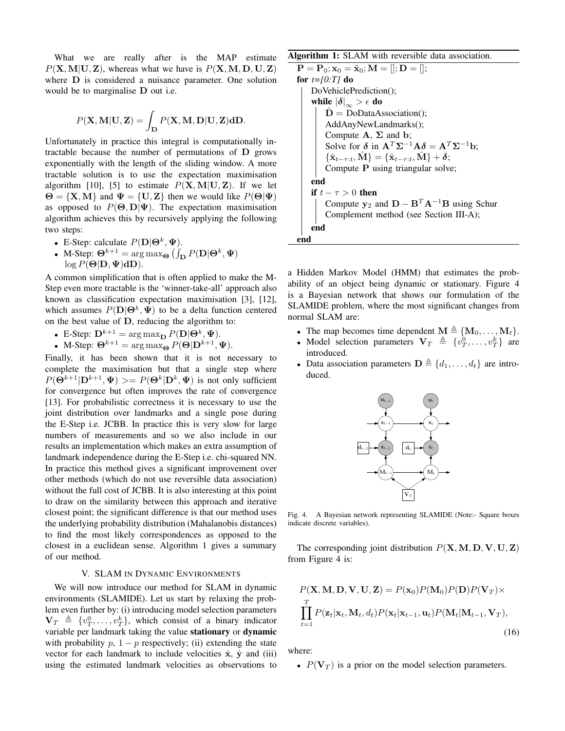What we are really after is the MAP estimate  $P(X, M|U, Z)$ , whereas what we have is  $P(X, M, D, U, Z)$ where D is considered a nuisance parameter. One solution would be to marginalise D out i.e.

$$
P(\mathbf{X}, \mathbf{M}|\mathbf{U}, \mathbf{Z}) = \int_{\mathbf{D}} P(\mathbf{X}, \mathbf{M}, \mathbf{D}|\mathbf{U}, \mathbf{Z}) \mathbf{d} \mathbf{D}.
$$

Unfortunately in practice this integral is computationally intractable because the number of permutations of D grows exponentially with the length of the sliding window. A more tractable solution is to use the expectation maximisation algorithm [10], [5] to estimate  $P(X, M|U, Z)$ . If we let  $\Theta = \{X, M\}$  and  $\Psi = \{U, Z\}$  then we would like  $P(\Theta | \Psi)$ as opposed to  $P(\Theta, D | \Psi)$ . The expectation maximisation algorithm achieves this by recursively applying the following two steps:

- E-Step: calculate  $P(D|\Theta^k, \Psi)$ .
- M-Step:  $\mathbf{\Theta}^{k+1} = \arg \max_{\mathbf{\Theta}} (\int_{\mathbf{D}} P(\mathbf{D} | \mathbf{\Theta}^k, \mathbf{\Psi})$  $log P(\Theta|\mathbf{D}, \Psi) d\mathbf{D}).$

A common simplification that is often applied to make the M-Step even more tractable is the 'winner-take-all' approach also known as classification expectation maximisation [3], [12], which assumes  $P(D|\Theta^k, \Psi)$  to be a delta function centered on the best value of D, reducing the algorithm to:

- E-Step:  $\mathbf{D}^{k+1} = \arg \max_{\mathbf{D}} P(\mathbf{D} | \mathbf{\Theta}^k, \mathbf{\Psi}).$
- M-Step:  $\mathbf{\Theta}^{k+1} = \arg \max_{\mathbf{\Theta}} P(\mathbf{\Theta} | \mathbf{D}^{k+1}, \mathbf{\Psi}).$

Finally, it has been shown that it is not necessary to complete the maximisation but that a single step where  $P(\mathbf{\Theta}^{k+1}|\mathbf{D}^{k+1}, \Psi) \rangle = P(\mathbf{\Theta}^{k}|\mathbf{D}^{k}, \Psi)$  is not only sufficient for convergence but often improves the rate of convergence [13]. For probabilistic correctness it is necessary to use the joint distribution over landmarks and a single pose during the E-Step i.e. JCBB. In practice this is very slow for large numbers of measurements and so we also include in our results an implementation which makes an extra assumption of landmark independence during the E-Step i.e. chi-squared NN. In practice this method gives a significant improvement over other methods (which do not use reversible data association) without the full cost of JCBB. It is also interesting at this point to draw on the similarity between this approach and iterative closest point; the significant difference is that our method uses the underlying probability distribution (Mahalanobis distances) to find the most likely correspondences as opposed to the closest in a euclidean sense. Algorithm 1 gives a summary of our method.

## V. SLAM IN DYNAMIC ENVIRONMENTS

We will now introduce our method for SLAM in dynamic environments (SLAMIDE). Let us start by relaxing the problem even further by: (i) introducing model selection parameters  $\mathbf{V}_T \triangleq \{v_T^0, \ldots, v_T^k\}$ , which consist of a binary indicator variable per landmark taking the value stationary or dynamic with probability  $p$ ,  $1 - p$  respectively; (ii) extending the state vector for each landmark to include velocities  $\dot{x}$ ,  $\dot{y}$  and (iii) using the estimated landmark velocities as observations to

Algorithm 1: SLAM with reversible data association.

```
{\bf P} = {\bf P}_0; {\bf x}_0 = \tilde{{\bf x}}_0; {\bf M} = []; {\bf D} = [];for t=[0:T] do
     DoVehiclePrediction();
     while |\delta|_{\infty} > \epsilon do
           D = DoDataAssociation();AddAnyNewLandmarks();
           Compute A, \Sigma and b;
           Solve for \delta in \mathbf{A}^T \Sigma^{-1} \mathbf{A} \delta = \mathbf{A}^T \Sigma^{-1} \mathbf{b};
           \{\hat{\mathbf{x}}_{t-\tau:t}, \hat{\mathbf{M}}\} = \{\hat{\mathbf{x}}_{t-\tau:t}, \hat{\mathbf{M}}\} + \boldsymbol{\delta};Compute P using triangular solve;
     end
     if t - \tau > 0 then
           Compute y_2 and D - B^T A^{-1}B using Schur
           Complement method (see Section III-A);
     end
end
```
a Hidden Markov Model (HMM) that estimates the probability of an object being dynamic or stationary. Figure 4 is a Bayesian network that shows our formulation of the SLAMIDE problem, where the most significant changes from normal SLAM are:

- The map becomes time dependent  $\mathbf{M} \triangleq \{ \mathbf{M}_0, \ldots, \mathbf{M}_t \}.$
- Model selection parameters  $V_T \triangleq \{v_T^0, \ldots, v_T^k\}$  are introduced.
- Data association parameters  $\mathbf{D} \triangleq \{d_1, \ldots, d_t\}$  are introduced.



Fig. 4. A Bayesian network representing SLAMIDE (Note:- Square boxes indicate discrete variables).

The corresponding joint distribution  $P(X, M, D, V, U, Z)$ from Figure 4 is:

$$
P(\mathbf{X}, \mathbf{M}, \mathbf{D}, \mathbf{V}, \mathbf{U}, \mathbf{Z}) = P(\mathbf{x}_0) P(\mathbf{M}_0) P(\mathbf{D}) P(\mathbf{V}_T) \times \prod_{t=1}^T P(\mathbf{z}_t | \mathbf{x}_t, \mathbf{M}_t, d_t) P(\mathbf{x}_t | \mathbf{x}_{t-1}, \mathbf{u}_t) P(\mathbf{M}_t | \mathbf{M}_{t-1}, \mathbf{V}_T),
$$
\n(16)

where:

•  $P(\mathbf{V}_T)$  is a prior on the model selection parameters.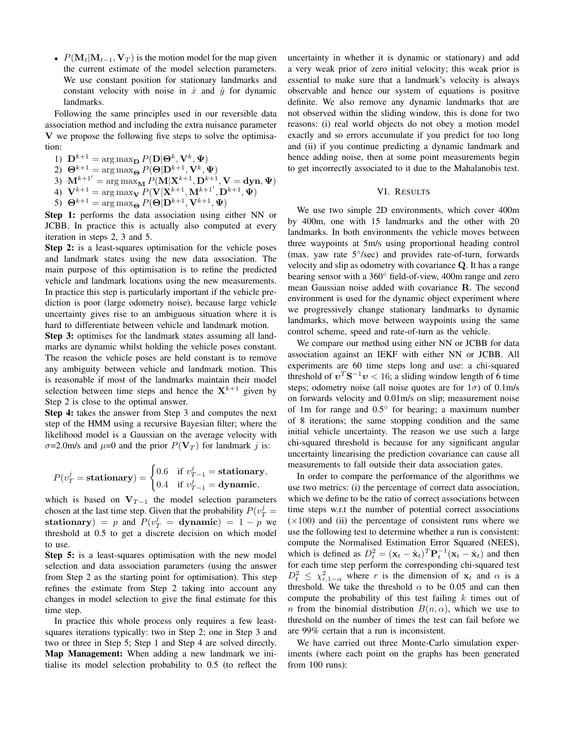•  $P(\mathbf{M}_t|\mathbf{M}_{t-1}, \mathbf{V}_T)$  is the motion model for the map given the current estimate of the model selection parameters. We use constant position for stationary landmarks and constant velocity with noise in  $\dot{x}$  and  $\dot{y}$  for dynamic landmarks.

Following the same principles used in our reversible data association method and including the extra nuisance parameter V we propose the following five steps to solve the optimisation:

1)  $\mathbf{D}^{k+1} = \arg \max_{\mathbf{D}} P(\mathbf{D} | \mathbf{\Theta}^k, \mathbf{V}^k, \mathbf{\Psi})$ 

- 2)  $\mathbf{\Theta}^{k+1} = \arg \max_{\mathbf{\Theta}} P(\mathbf{\Theta} | \mathbf{D}^{k+1}, \mathbf{V}^k, \mathbf{\Psi})$
- 3)  $\mathbf{M}^{k+1'} = \arg \max_{\mathbf{M}} P(\mathbf{M} | \mathbf{X}^{k+1}, \mathbf{D}^{k+1}, \mathbf{V} = \mathbf{dyn}, \mathbf{\Psi})$
- 4)  $\mathbf{V}^{k+1} = \arg \max_{\mathbf{V}} P(\hat{\mathbf{V}} | \mathbf{X}^{k+1}, \mathbf{M}^{k+1'}, \mathbf{D}^{k+1}, \mathbf{\Psi})$
- 5)  $\mathbf{\Theta}^{k+1} = \arg \max_{\mathbf{\Theta}} P(\mathbf{\Theta} | \mathbf{D}^{k+1}, \mathbf{V}^{k+1}, \mathbf{\Psi})$

Step 1: performs the data association using either NN or JCBB. In practice this is actually also computed at every iteration in steps 2, 3 and 5.

Step 2: is a least-squares optimisation for the vehicle poses and landmark states using the new data association. The main purpose of this optimisation is to refine the predicted vehicle and landmark locations using the new measurements. In practice this step is particularly important if the vehicle prediction is poor (large odometry noise), because large vehicle uncertainty gives rise to an ambiguous situation where it is hard to differentiate between vehicle and landmark motion.

Step 3: optimises for the landmark states assuming all landmarks are dynamic whilst holding the vehicle poses constant. The reason the vehicle poses are held constant is to remove any ambiguity between vehicle and landmark motion. This is reasonable if most of the landmarks maintain their model selection between time steps and hence the  $X^{k+1}$  given by Step 2 is close to the optimal answer.

Step 4: takes the answer from Step 3 and computes the next step of the HMM using a recursive Bayesian filter; where the likelihood model is a Gaussian on the average velocity with  $\sigma$ =2.0m/s and  $\mu$ =0 and the prior  $P(\mathbf{V}_T)$  for landmark j is:

$$
P(v_T^j = \text{stationary}) = \begin{cases} 0.6 & \text{if } v_{T-1}^j = \text{stationary}, \\ 0.4 & \text{if } v_{T-1}^j = \text{dynamic}, \end{cases}
$$

which is based on  $V_{T-1}$  the model selection parameters chosen at the last time step. Given that the probability  $P(v_T^j =$ stationary) = p and  $P(v_T^j = \text{dynamic}) = 1 - p$  we threshold at 0.5 to get a discrete decision on which model to use.

**Step 5:** is a least-squares optimisation with the new model selection and data association parameters (using the answer from Step 2 as the starting point for optimisation). This step refines the estimate from Step 2 taking into account any changes in model selection to give the final estimate for this time step.

In practice this whole process only requires a few leastsquares iterations typically: two in Step 2; one in Step 3 and two or three in Step 5; Step 1 and Step 4 are solved directly. Map Management: When adding a new landmark we initialise its model selection probability to 0.5 (to reflect the uncertainty in whether it is dynamic or stationary) and add a very weak prior of zero initial velocity; this weak prior is essential to make sure that a landmark's velocity is always observable and hence our system of equations is positive definite. We also remove any dynamic landmarks that are not observed within the sliding window, this is done for two reasons: (i) real world objects do not obey a motion model exactly and so errors accumulate if you predict for too long and (ii) if you continue predicting a dynamic landmark and hence adding noise, then at some point measurements begin to get incorrectly associated to it due to the Mahalanobis test.

## VI. RESULTS

We use two simple 2D environments, which cover 400m by 400m, one with 15 landmarks and the other with 20 landmarks. In both environments the vehicle moves between three waypoints at 5m/s using proportional heading control (max. yaw rate 5°/sec) and provides rate-of-turn, forwards velocity and slip as odometry with covariance Q. It has a range bearing sensor with a 360◦ field-of-view, 400m range and zero mean Gaussian noise added with covariance R. The second environment is used for the dynamic object experiment where we progressively change stationary landmarks to dynamic landmarks, which move between waypoints using the same control scheme, speed and rate-of-turn as the vehicle.

We compare our method using either NN or JCBB for data association against an IEKF with either NN or JCBB. All experiments are 60 time steps long and use: a chi-squared threshold of  $v^T S^{-1} v < 16$ ; a sliding window length of 6 time steps; odometry noise (all noise quotes are for  $1\sigma$ ) of 0.1m/s on forwards velocity and 0.01m/s on slip; measurement noise of 1m for range and 0.5° for bearing; a maximum number of 8 iterations; the same stopping condition and the same initial vehicle uncertainty. The reason we use such a large chi-squared threshold is because for any significant angular uncertainty linearising the prediction covariance can cause all measurements to fall outside their data association gates.

In order to compare the performance of the algorithms we use two metrics: (i) the percentage of correct data association, which we define to be the ratio of correct associations between time steps w.r.t the number of potential correct associations  $(\times 100)$  and (ii) the percentage of consistent runs where we use the following test to determine whether a run is consistent: compute the Normalised Estimation Error Squared (NEES), which is defined as  $D_t^2 = (\mathbf{x}_t - \hat{\mathbf{x}}_t)^T \mathbf{P}_t^{-1} (\mathbf{x}_t - \hat{\mathbf{x}}_t)$  and then for each time step perform the corresponding chi-squared test  $D_t^2 \leq \chi^2_{r,1-\alpha}$  where r is the dimension of  $\mathbf{x}_t$  and  $\alpha$  is a threshold. We take the threshold  $\alpha$  to be 0.05 and can then compute the probability of this test failing  $k$  times out of n from the binomial distribution  $B(n, \alpha)$ , which we use to threshold on the number of times the test can fail before we are 99% certain that a run is inconsistent.

We have carried out three Monte-Carlo simulation experiments (where each point on the graphs has been generated from 100 runs):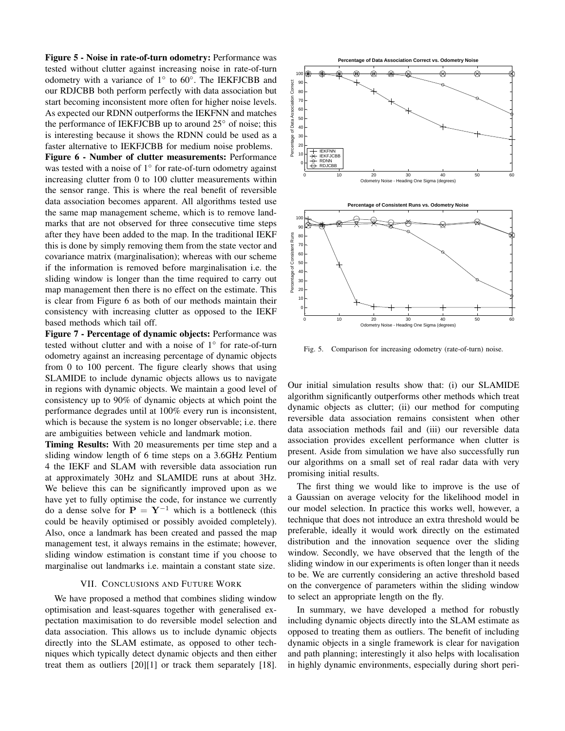Figure 5 - Noise in rate-of-turn odometry: Performance was tested without clutter against increasing noise in rate-of-turn odometry with a variance of 1° to 60°. The IEKFJCBB and our RDJCBB both perform perfectly with data association but start becoming inconsistent more often for higher noise levels. As expected our RDNN outperforms the IEKFNN and matches the performance of IEKFJCBB up to around 25◦ of noise; this is interesting because it shows the RDNN could be used as a faster alternative to IEKFJCBB for medium noise problems.

Figure 6 - Number of clutter measurements: Performance was tested with a noise of 1<sup>°</sup> for rate-of-turn odometry against increasing clutter from 0 to 100 clutter measurements within the sensor range. This is where the real benefit of reversible data association becomes apparent. All algorithms tested use the same map management scheme, which is to remove landmarks that are not observed for three consecutive time steps after they have been added to the map. In the traditional IEKF this is done by simply removing them from the state vector and covariance matrix (marginalisation); whereas with our scheme if the information is removed before marginalisation i.e. the sliding window is longer than the time required to carry out map management then there is no effect on the estimate. This is clear from Figure 6 as both of our methods maintain their consistency with increasing clutter as opposed to the IEKF based methods which tail off.

Figure 7 - Percentage of dynamic objects: Performance was tested without clutter and with a noise of 1° for rate-of-turn odometry against an increasing percentage of dynamic objects from 0 to 100 percent. The figure clearly shows that using SLAMIDE to include dynamic objects allows us to navigate in regions with dynamic objects. We maintain a good level of consistency up to 90% of dynamic objects at which point the performance degrades until at 100% every run is inconsistent, which is because the system is no longer observable; i.e. there are ambiguities between vehicle and landmark motion.

Timing Results: With 20 measurements per time step and a sliding window length of 6 time steps on a 3.6GHz Pentium 4 the IEKF and SLAM with reversible data association run at approximately 30Hz and SLAMIDE runs at about 3Hz. We believe this can be significantly improved upon as we have yet to fully optimise the code, for instance we currently do a dense solve for  $P = Y^{-1}$  which is a bottleneck (this could be heavily optimised or possibly avoided completely). Also, once a landmark has been created and passed the map management test, it always remains in the estimate; however, sliding window estimation is constant time if you choose to marginalise out landmarks i.e. maintain a constant state size.

### VII. CONCLUSIONS AND FUTURE WORK

We have proposed a method that combines sliding window optimisation and least-squares together with generalised expectation maximisation to do reversible model selection and data association. This allows us to include dynamic objects directly into the SLAM estimate, as opposed to other techniques which typically detect dynamic objects and then either treat them as outliers [20][1] or track them separately [18].



Fig. 5. Comparison for increasing odometry (rate-of-turn) noise.

Our initial simulation results show that: (i) our SLAMIDE algorithm significantly outperforms other methods which treat dynamic objects as clutter; (ii) our method for computing reversible data association remains consistent when other data association methods fail and (iii) our reversible data association provides excellent performance when clutter is present. Aside from simulation we have also successfully run our algorithms on a small set of real radar data with very promising initial results.

The first thing we would like to improve is the use of a Gaussian on average velocity for the likelihood model in our model selection. In practice this works well, however, a technique that does not introduce an extra threshold would be preferable, ideally it would work directly on the estimated distribution and the innovation sequence over the sliding window. Secondly, we have observed that the length of the sliding window in our experiments is often longer than it needs to be. We are currently considering an active threshold based on the convergence of parameters within the sliding window to select an appropriate length on the fly.

In summary, we have developed a method for robustly including dynamic objects directly into the SLAM estimate as opposed to treating them as outliers. The benefit of including dynamic objects in a single framework is clear for navigation and path planning; interestingly it also helps with localisation in highly dynamic environments, especially during short peri-